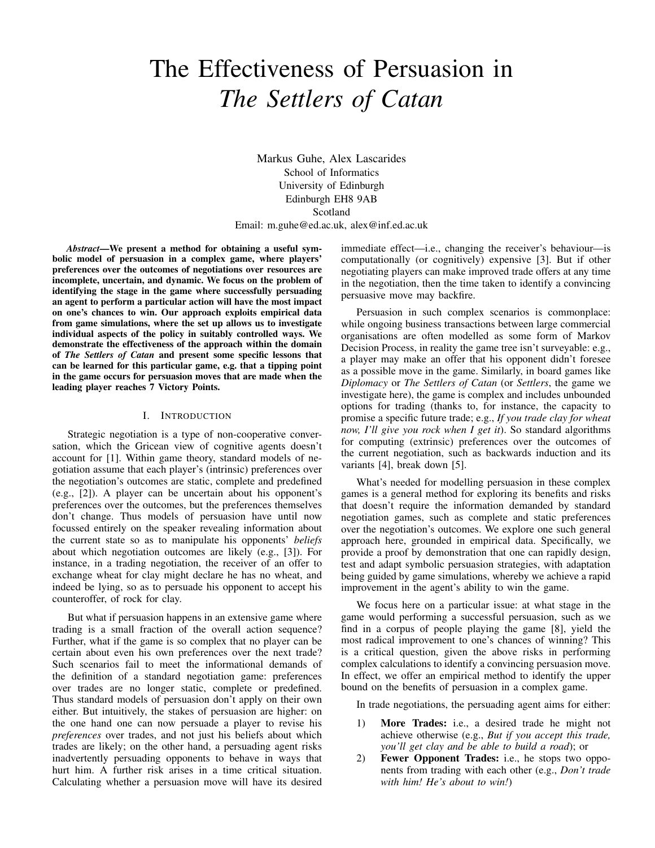# The Effectiveness of Persuasion in *The Settlers of Catan*

Markus Guhe, Alex Lascarides School of Informatics University of Edinburgh Edinburgh EH8 9AB Scotland

Email: m.guhe@ed.ac.uk, alex@inf.ed.ac.uk

*Abstract*—We present a method for obtaining a useful symbolic model of persuasion in a complex game, where players' preferences over the outcomes of negotiations over resources are incomplete, uncertain, and dynamic. We focus on the problem of identifying the stage in the game where successfully persuading an agent to perform a particular action will have the most impact on one's chances to win. Our approach exploits empirical data from game simulations, where the set up allows us to investigate individual aspects of the policy in suitably controlled ways. We demonstrate the effectiveness of the approach within the domain of *The Settlers of Catan* and present some specific lessons that can be learned for this particular game, e.g. that a tipping point in the game occurs for persuasion moves that are made when the leading player reaches 7 Victory Points.

## I. INTRODUCTION

Strategic negotiation is a type of non-cooperative conversation, which the Gricean view of cognitive agents doesn't account for [1]. Within game theory, standard models of negotiation assume that each player's (intrinsic) preferences over the negotiation's outcomes are static, complete and predefined (e.g., [2]). A player can be uncertain about his opponent's preferences over the outcomes, but the preferences themselves don't change. Thus models of persuasion have until now focussed entirely on the speaker revealing information about the current state so as to manipulate his opponents' *beliefs* about which negotiation outcomes are likely (e.g., [3]). For instance, in a trading negotiation, the receiver of an offer to exchange wheat for clay might declare he has no wheat, and indeed be lying, so as to persuade his opponent to accept his counteroffer, of rock for clay.

But what if persuasion happens in an extensive game where trading is a small fraction of the overall action sequence? Further, what if the game is so complex that no player can be certain about even his own preferences over the next trade? Such scenarios fail to meet the informational demands of the definition of a standard negotiation game: preferences over trades are no longer static, complete or predefined. Thus standard models of persuasion don't apply on their own either. But intuitively, the stakes of persuasion are higher: on the one hand one can now persuade a player to revise his *preferences* over trades, and not just his beliefs about which trades are likely; on the other hand, a persuading agent risks inadvertently persuading opponents to behave in ways that hurt him. A further risk arises in a time critical situation. Calculating whether a persuasion move will have its desired immediate effect—i.e., changing the receiver's behaviour—is computationally (or cognitively) expensive [3]. But if other negotiating players can make improved trade offers at any time in the negotiation, then the time taken to identify a convincing persuasive move may backfire.

Persuasion in such complex scenarios is commonplace: while ongoing business transactions between large commercial organisations are often modelled as some form of Markov Decision Process, in reality the game tree isn't surveyable: e.g., a player may make an offer that his opponent didn't foresee as a possible move in the game. Similarly, in board games like *Diplomacy* or *The Settlers of Catan* (or *Settlers*, the game we investigate here), the game is complex and includes unbounded options for trading (thanks to, for instance, the capacity to promise a specific future trade; e.g., *If you trade clay for wheat now, I'll give you rock when I get it*). So standard algorithms for computing (extrinsic) preferences over the outcomes of the current negotiation, such as backwards induction and its variants [4], break down [5].

What's needed for modelling persuasion in these complex games is a general method for exploring its benefits and risks that doesn't require the information demanded by standard negotiation games, such as complete and static preferences over the negotiation's outcomes. We explore one such general approach here, grounded in empirical data. Specifically, we provide a proof by demonstration that one can rapidly design, test and adapt symbolic persuasion strategies, with adaptation being guided by game simulations, whereby we achieve a rapid improvement in the agent's ability to win the game.

We focus here on a particular issue: at what stage in the game would performing a successful persuasion, such as we find in a corpus of people playing the game [8], yield the most radical improvement to one's chances of winning? This is a critical question, given the above risks in performing complex calculations to identify a convincing persuasion move. In effect, we offer an empirical method to identify the upper bound on the benefits of persuasion in a complex game.

In trade negotiations, the persuading agent aims for either:

- 1) More Trades: i.e., a desired trade he might not achieve otherwise (e.g., *But if you accept this trade, you'll get clay and be able to build a road*); or
- 2) Fewer Opponent Trades: i.e., he stops two opponents from trading with each other (e.g., *Don't trade with him! He's about to win!*)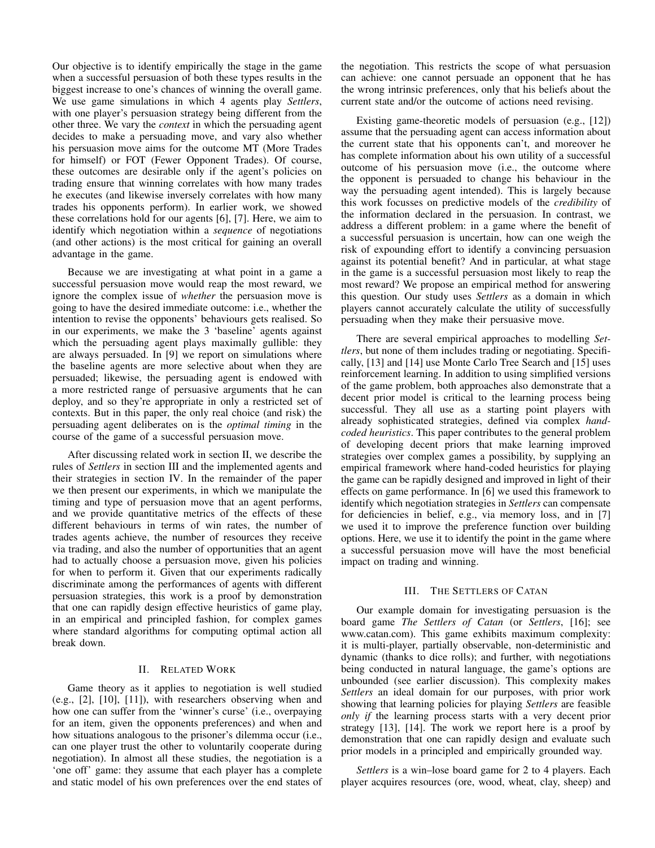Our objective is to identify empirically the stage in the game when a successful persuasion of both these types results in the biggest increase to one's chances of winning the overall game. We use game simulations in which 4 agents play *Settlers*, with one player's persuasion strategy being different from the other three. We vary the *context* in which the persuading agent decides to make a persuading move, and vary also whether his persuasion move aims for the outcome MT (More Trades for himself) or FOT (Fewer Opponent Trades). Of course, these outcomes are desirable only if the agent's policies on trading ensure that winning correlates with how many trades he executes (and likewise inversely correlates with how many trades his opponents perform). In earlier work, we showed these correlations hold for our agents [6], [7]. Here, we aim to identify which negotiation within a *sequence* of negotiations (and other actions) is the most critical for gaining an overall advantage in the game.

Because we are investigating at what point in a game a successful persuasion move would reap the most reward, we ignore the complex issue of *whether* the persuasion move is going to have the desired immediate outcome: i.e., whether the intention to revise the opponents' behaviours gets realised. So in our experiments, we make the 3 'baseline' agents against which the persuading agent plays maximally gullible: they are always persuaded. In [9] we report on simulations where the baseline agents are more selective about when they are persuaded; likewise, the persuading agent is endowed with a more restricted range of persuasive arguments that he can deploy, and so they're appropriate in only a restricted set of contexts. But in this paper, the only real choice (and risk) the persuading agent deliberates on is the *optimal timing* in the course of the game of a successful persuasion move.

After discussing related work in section II, we describe the rules of *Settlers* in section III and the implemented agents and their strategies in section IV. In the remainder of the paper we then present our experiments, in which we manipulate the timing and type of persuasion move that an agent performs, and we provide quantitative metrics of the effects of these different behaviours in terms of win rates, the number of trades agents achieve, the number of resources they receive via trading, and also the number of opportunities that an agent had to actually choose a persuasion move, given his policies for when to perform it. Given that our experiments radically discriminate among the performances of agents with different persuasion strategies, this work is a proof by demonstration that one can rapidly design effective heuristics of game play, in an empirical and principled fashion, for complex games where standard algorithms for computing optimal action all break down.

# II. RELATED WORK

Game theory as it applies to negotiation is well studied (e.g., [2], [10], [11]), with researchers observing when and how one can suffer from the 'winner's curse' (i.e., overpaying for an item, given the opponents preferences) and when and how situations analogous to the prisoner's dilemma occur (i.e., can one player trust the other to voluntarily cooperate during negotiation). In almost all these studies, the negotiation is a 'one off' game: they assume that each player has a complete and static model of his own preferences over the end states of the negotiation. This restricts the scope of what persuasion can achieve: one cannot persuade an opponent that he has the wrong intrinsic preferences, only that his beliefs about the current state and/or the outcome of actions need revising.

Existing game-theoretic models of persuasion (e.g., [12]) assume that the persuading agent can access information about the current state that his opponents can't, and moreover he has complete information about his own utility of a successful outcome of his persuasion move (i.e., the outcome where the opponent is persuaded to change his behaviour in the way the persuading agent intended). This is largely because this work focusses on predictive models of the *credibility* of the information declared in the persuasion. In contrast, we address a different problem: in a game where the benefit of a successful persuasion is uncertain, how can one weigh the risk of expounding effort to identify a convincing persuasion against its potential benefit? And in particular, at what stage in the game is a successful persuasion most likely to reap the most reward? We propose an empirical method for answering this question. Our study uses *Settlers* as a domain in which players cannot accurately calculate the utility of successfully persuading when they make their persuasive move.

There are several empirical approaches to modelling *Settlers*, but none of them includes trading or negotiating. Specifically, [13] and [14] use Monte Carlo Tree Search and [15] uses reinforcement learning. In addition to using simplified versions of the game problem, both approaches also demonstrate that a decent prior model is critical to the learning process being successful. They all use as a starting point players with already sophisticated strategies, defined via complex *handcoded heuristics*. This paper contributes to the general problem of developing decent priors that make learning improved strategies over complex games a possibility, by supplying an empirical framework where hand-coded heuristics for playing the game can be rapidly designed and improved in light of their effects on game performance. In [6] we used this framework to identify which negotiation strategies in *Settlers* can compensate for deficiencies in belief, e.g., via memory loss, and in [7] we used it to improve the preference function over building options. Here, we use it to identify the point in the game where a successful persuasion move will have the most beneficial impact on trading and winning.

### III. THE SETTLERS OF CATAN

Our example domain for investigating persuasion is the board game *The Settlers of Catan* (or *Settlers*, [16]; see www.catan.com). This game exhibits maximum complexity: it is multi-player, partially observable, non-deterministic and dynamic (thanks to dice rolls); and further, with negotiations being conducted in natural language, the game's options are unbounded (see earlier discussion). This complexity makes *Settlers* an ideal domain for our purposes, with prior work showing that learning policies for playing *Settlers* are feasible *only if* the learning process starts with a very decent prior strategy [13], [14]. The work we report here is a proof by demonstration that one can rapidly design and evaluate such prior models in a principled and empirically grounded way.

*Settlers* is a win–lose board game for 2 to 4 players. Each player acquires resources (ore, wood, wheat, clay, sheep) and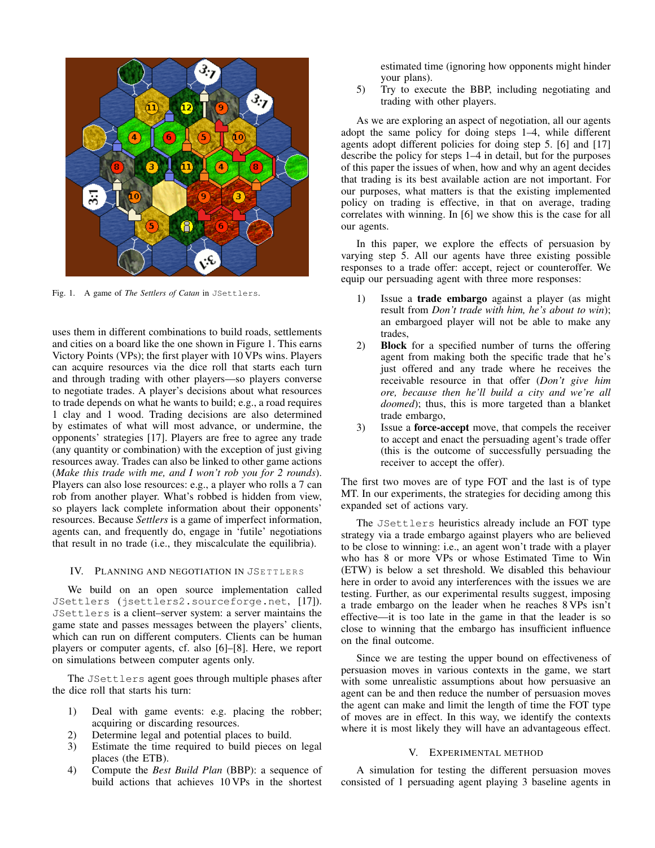

Fig. 1. A game of *The Settlers of Catan* in JSettlers.

uses them in different combinations to build roads, settlements and cities on a board like the one shown in Figure 1. This earns Victory Points (VPs); the first player with 10 VPs wins. Players can acquire resources via the dice roll that starts each turn and through trading with other players—so players converse to negotiate trades. A player's decisions about what resources to trade depends on what he wants to build; e.g., a road requires 1 clay and 1 wood. Trading decisions are also determined by estimates of what will most advance, or undermine, the opponents' strategies [17]. Players are free to agree any trade (any quantity or combination) with the exception of just giving resources away. Trades can also be linked to other game actions (*Make this trade with me, and I won't rob you for 2 rounds*). Players can also lose resources: e.g., a player who rolls a 7 can rob from another player. What's robbed is hidden from view, so players lack complete information about their opponents' resources. Because *Settlers* is a game of imperfect information, agents can, and frequently do, engage in 'futile' negotiations that result in no trade (i.e., they miscalculate the equilibria).

## IV. PLANNING AND NEGOTIATION IN JSETTLERS

We build on an open source implementation called JSettlers (jsettlers2.sourceforge.net, [17]). JSettlers is a client–server system: a server maintains the game state and passes messages between the players' clients, which can run on different computers. Clients can be human players or computer agents, cf. also [6]–[8]. Here, we report on simulations between computer agents only.

The JSettlers agent goes through multiple phases after the dice roll that starts his turn:

- 1) Deal with game events: e.g. placing the robber; acquiring or discarding resources.
- 2) Determine legal and potential places to build.
- 3) Estimate the time required to build pieces on legal places (the ETB).
- 4) Compute the *Best Build Plan* (BBP): a sequence of build actions that achieves 10 VPs in the shortest

estimated time (ignoring how opponents might hinder your plans).

5) Try to execute the BBP, including negotiating and trading with other players.

As we are exploring an aspect of negotiation, all our agents adopt the same policy for doing steps 1–4, while different agents adopt different policies for doing step 5. [6] and [17] describe the policy for steps 1–4 in detail, but for the purposes of this paper the issues of when, how and why an agent decides that trading is its best available action are not important. For our purposes, what matters is that the existing implemented policy on trading is effective, in that on average, trading correlates with winning. In [6] we show this is the case for all our agents.

In this paper, we explore the effects of persuasion by varying step 5. All our agents have three existing possible responses to a trade offer: accept, reject or counteroffer. We equip our persuading agent with three more responses:

- 1) Issue a trade embargo against a player (as might result from *Don't trade with him, he's about to win*); an embargoed player will not be able to make any trades,
- 2) Block for a specified number of turns the offering agent from making both the specific trade that he's just offered and any trade where he receives the receivable resource in that offer (*Don't give him ore, because then he'll build a city and we're all doomed*); thus, this is more targeted than a blanket trade embargo,
- 3) Issue a force-accept move, that compels the receiver to accept and enact the persuading agent's trade offer (this is the outcome of successfully persuading the receiver to accept the offer).

The first two moves are of type FOT and the last is of type MT. In our experiments, the strategies for deciding among this expanded set of actions vary.

The JSettlers heuristics already include an FOT type strategy via a trade embargo against players who are believed to be close to winning: i.e., an agent won't trade with a player who has 8 or more VPs or whose Estimated Time to Win (ETW) is below a set threshold. We disabled this behaviour here in order to avoid any interferences with the issues we are testing. Further, as our experimental results suggest, imposing a trade embargo on the leader when he reaches 8 VPs isn't effective—it is too late in the game in that the leader is so close to winning that the embargo has insufficient influence on the final outcome.

Since we are testing the upper bound on effectiveness of persuasion moves in various contexts in the game, we start with some unrealistic assumptions about how persuasive an agent can be and then reduce the number of persuasion moves the agent can make and limit the length of time the FOT type of moves are in effect. In this way, we identify the contexts where it is most likely they will have an advantageous effect.

### V. EXPERIMENTAL METHOD

A simulation for testing the different persuasion moves consisted of 1 persuading agent playing 3 baseline agents in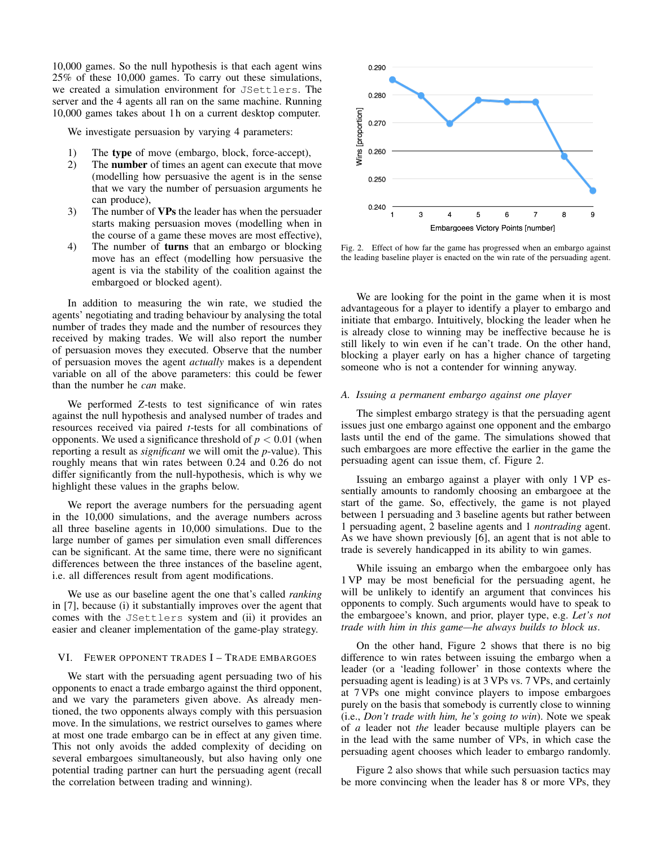10,000 games. So the null hypothesis is that each agent wins 25% of these 10,000 games. To carry out these simulations, we created a simulation environment for JSettlers. The server and the 4 agents all ran on the same machine. Running 10,000 games takes about 1 h on a current desktop computer.

We investigate persuasion by varying 4 parameters:

- 1) The **type** of move (embargo, block, force-accept),<br>2) The **number** of times an agent can execute that mo
- The number of times an agent can execute that move (modelling how persuasive the agent is in the sense that we vary the number of persuasion arguments he can produce),
- 3) The number of VPs the leader has when the persuader starts making persuasion moves (modelling when in the course of a game these moves are most effective),
- 4) The number of turns that an embargo or blocking move has an effect (modelling how persuasive the agent is via the stability of the coalition against the embargoed or blocked agent).

In addition to measuring the win rate, we studied the agents' negotiating and trading behaviour by analysing the total number of trades they made and the number of resources they received by making trades. We will also report the number of persuasion moves they executed. Observe that the number of persuasion moves the agent *actually* makes is a dependent variable on all of the above parameters: this could be fewer than the number he *can* make.

We performed *Z*-tests to test significance of win rates against the null hypothesis and analysed number of trades and resources received via paired *t*-tests for all combinations of opponents. We used a significance threshold of  $p < 0.01$  (when reporting a result as *significant* we will omit the *p*-value). This roughly means that win rates between 0.24 and 0.26 do not differ significantly from the null-hypothesis, which is why we highlight these values in the graphs below.

We report the average numbers for the persuading agent in the 10,000 simulations, and the average numbers across all three baseline agents in 10,000 simulations. Due to the large number of games per simulation even small differences can be significant. At the same time, there were no significant differences between the three instances of the baseline agent, i.e. all differences result from agent modifications.

We use as our baseline agent the one that's called *ranking* in [7], because (i) it substantially improves over the agent that comes with the JSettlers system and (ii) it provides an easier and cleaner implementation of the game-play strategy.

### VI. FEWER OPPONENT TRADES I – TRADE EMBARGOES

We start with the persuading agent persuading two of his opponents to enact a trade embargo against the third opponent, and we vary the parameters given above. As already mentioned, the two opponents always comply with this persuasion move. In the simulations, we restrict ourselves to games where at most one trade embargo can be in effect at any given time. This not only avoids the added complexity of deciding on several embargoes simultaneously, but also having only one potential trading partner can hurt the persuading agent (recall the correlation between trading and winning).



Fig. 2. Effect of how far the game has progressed when an embargo against the leading baseline player is enacted on the win rate of the persuading agent.

We are looking for the point in the game when it is most advantageous for a player to identify a player to embargo and initiate that embargo. Intuitively, blocking the leader when he is already close to winning may be ineffective because he is still likely to win even if he can't trade. On the other hand, blocking a player early on has a higher chance of targeting someone who is not a contender for winning anyway.

#### *A. Issuing a permanent embargo against one player*

The simplest embargo strategy is that the persuading agent issues just one embargo against one opponent and the embargo lasts until the end of the game. The simulations showed that such embargoes are more effective the earlier in the game the persuading agent can issue them, cf. Figure 2.

Issuing an embargo against a player with only 1 VP essentially amounts to randomly choosing an embargoee at the start of the game. So, effectively, the game is not played between 1 persuading and 3 baseline agents but rather between 1 persuading agent, 2 baseline agents and 1 *nontrading* agent. As we have shown previously [6], an agent that is not able to trade is severely handicapped in its ability to win games.

While issuing an embargo when the embargoee only has 1 VP may be most beneficial for the persuading agent, he will be unlikely to identify an argument that convinces his opponents to comply. Such arguments would have to speak to the embargoee's known, and prior, player type, e.g. *Let's not trade with him in this game—he always builds to block us*.

On the other hand, Figure 2 shows that there is no big difference to win rates between issuing the embargo when a leader (or a 'leading follower' in those contexts where the persuading agent is leading) is at 3 VPs vs. 7 VPs, and certainly at 7 VPs one might convince players to impose embargoes purely on the basis that somebody is currently close to winning (i.e., *Don't trade with him, he's going to win*). Note we speak of *a* leader not *the* leader because multiple players can be in the lead with the same number of VPs, in which case the persuading agent chooses which leader to embargo randomly.

Figure 2 also shows that while such persuasion tactics may be more convincing when the leader has 8 or more VPs, they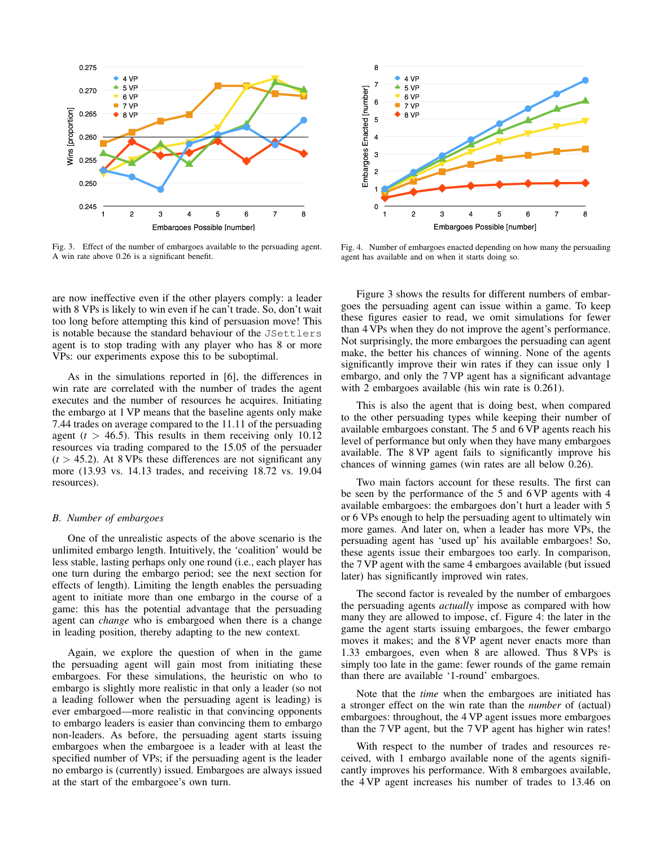

Fig. 3. Effect of the number of embargoes available to the persuading agent. A win rate above 0.26 is a significant benefit.

are now ineffective even if the other players comply: a leader with 8 VPs is likely to win even if he can't trade. So, don't wait too long before attempting this kind of persuasion move! This is notable because the standard behaviour of the JSettlers agent is to stop trading with any player who has 8 or more VPs: our experiments expose this to be suboptimal.

As in the simulations reported in [6], the differences in win rate are correlated with the number of trades the agent executes and the number of resources he acquires. Initiating the embargo at 1 VP means that the baseline agents only make 7.44 trades on average compared to the 11.11 of the persuading agent  $(t > 46.5)$ . This results in them receiving only 10.12 resources via trading compared to the 15.05 of the persuader  $(t > 45.2)$ . At 8 VPs these differences are not significant any more (13.93 vs. 14.13 trades, and receiving 18.72 vs. 19.04 resources).

## *B. Number of embargoes*

One of the unrealistic aspects of the above scenario is the unlimited embargo length. Intuitively, the 'coalition' would be less stable, lasting perhaps only one round (i.e., each player has one turn during the embargo period; see the next section for effects of length). Limiting the length enables the persuading agent to initiate more than one embargo in the course of a game: this has the potential advantage that the persuading agent can *change* who is embargoed when there is a change in leading position, thereby adapting to the new context.

Again, we explore the question of when in the game the persuading agent will gain most from initiating these embargoes. For these simulations, the heuristic on who to embargo is slightly more realistic in that only a leader (so not a leading follower when the persuading agent is leading) is ever embargoed—more realistic in that convincing opponents to embargo leaders is easier than convincing them to embargo non-leaders. As before, the persuading agent starts issuing embargoes when the embargoee is a leader with at least the specified number of VPs; if the persuading agent is the leader no embargo is (currently) issued. Embargoes are always issued at the start of the embargoee's own turn.



Fig. 4. Number of embargoes enacted depending on how many the persuading agent has available and on when it starts doing so.

Figure 3 shows the results for different numbers of embargoes the persuading agent can issue within a game. To keep these figures easier to read, we omit simulations for fewer than 4 VPs when they do not improve the agent's performance. Not surprisingly, the more embargoes the persuading can agent make, the better his chances of winning. None of the agents significantly improve their win rates if they can issue only 1 embargo, and only the 7 VP agent has a significant advantage with 2 embargoes available (his win rate is 0.261).

This is also the agent that is doing best, when compared to the other persuading types while keeping their number of available embargoes constant. The 5 and 6 VP agents reach his level of performance but only when they have many embargoes available. The 8 VP agent fails to significantly improve his chances of winning games (win rates are all below 0.26).

Two main factors account for these results. The first can be seen by the performance of the 5 and 6 VP agents with 4 available embargoes: the embargoes don't hurt a leader with 5 or 6 VPs enough to help the persuading agent to ultimately win more games. And later on, when a leader has more VPs, the persuading agent has 'used up' his available embargoes! So, these agents issue their embargoes too early. In comparison, the 7 VP agent with the same 4 embargoes available (but issued later) has significantly improved win rates.

The second factor is revealed by the number of embargoes the persuading agents *actually* impose as compared with how many they are allowed to impose, cf. Figure 4: the later in the game the agent starts issuing embargoes, the fewer embargo moves it makes; and the 8 VP agent never enacts more than 1.33 embargoes, even when 8 are allowed. Thus 8 VPs is simply too late in the game: fewer rounds of the game remain than there are available '1-round' embargoes.

Note that the *time* when the embargoes are initiated has a stronger effect on the win rate than the *number* of (actual) embargoes: throughout, the 4 VP agent issues more embargoes than the 7 VP agent, but the 7 VP agent has higher win rates!

With respect to the number of trades and resources received, with 1 embargo available none of the agents significantly improves his performance. With 8 embargoes available, the 4 VP agent increases his number of trades to 13.46 on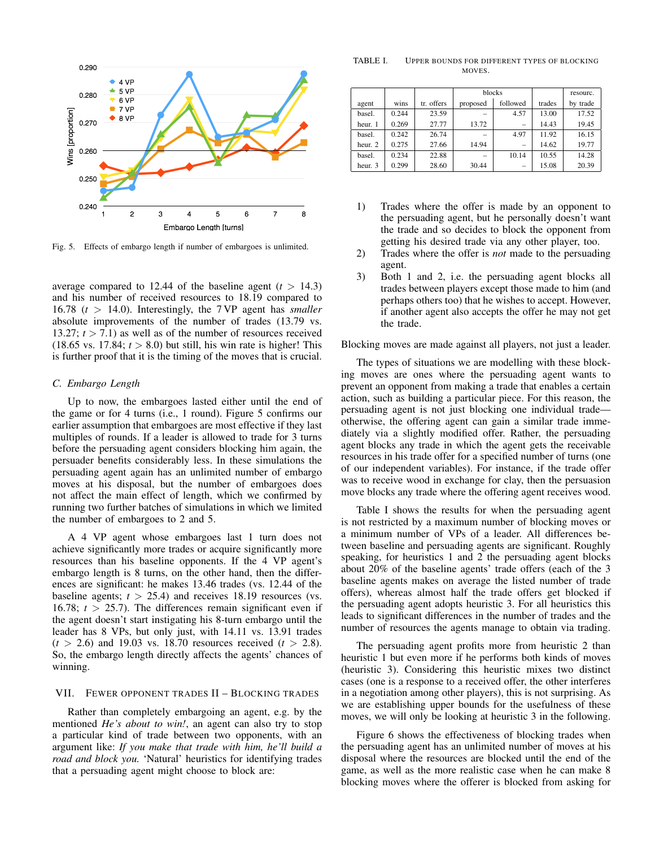

Fig. 5. Effects of embargo length if number of embargoes is unlimited.

average compared to 12.44 of the baseline agent  $(t > 14.3)$ and his number of received resources to 18.19 compared to 16.78 (*t* > 14.0). Interestingly, the 7 VP agent has *smaller* absolute improvements of the number of trades (13.79 vs. 13.27;  $t > 7.1$ ) as well as of the number of resources received  $(18.65 \text{ vs. } 17.84; t > 8.0)$  but still, his win rate is higher! This is further proof that it is the timing of the moves that is crucial.

#### *C. Embargo Length*

Up to now, the embargoes lasted either until the end of the game or for 4 turns (i.e., 1 round). Figure 5 confirms our earlier assumption that embargoes are most effective if they last multiples of rounds. If a leader is allowed to trade for 3 turns before the persuading agent considers blocking him again, the persuader benefits considerably less. In these simulations the persuading agent again has an unlimited number of embargo moves at his disposal, but the number of embargoes does not affect the main effect of length, which we confirmed by running two further batches of simulations in which we limited the number of embargoes to 2 and 5.

A 4 VP agent whose embargoes last 1 turn does not achieve significantly more trades or acquire significantly more resources than his baseline opponents. If the 4 VP agent's embargo length is 8 turns, on the other hand, then the differences are significant: he makes 13.46 trades (vs. 12.44 of the baseline agents;  $t > 25.4$ ) and receives 18.19 resources (vs. 16.78;  $t > 25.7$ ). The differences remain significant even if the agent doesn't start instigating his 8-turn embargo until the leader has 8 VPs, but only just, with 14.11 vs. 13.91 trades  $(t > 2.6)$  and 19.03 vs. 18.70 resources received  $(t > 2.8)$ . So, the embargo length directly affects the agents' chances of winning.

## VII. FEWER OPPONENT TRADES II – BLOCKING TRADES

Rather than completely embargoing an agent, e.g. by the mentioned *He's about to win!*, an agent can also try to stop a particular kind of trade between two opponents, with an argument like: *If you make that trade with him, he'll build a road and block you.* 'Natural' heuristics for identifying trades that a persuading agent might choose to block are:

TABLE I. UPPER BOUNDS FOR DIFFERENT TYPES OF BLOCKING MOVES.

|         |       |            | blocks   |          |        | resourc. |
|---------|-------|------------|----------|----------|--------|----------|
| agent   | wins  | tr. offers | proposed | followed | trades | by trade |
| basel.  | 0.244 | 23.59      |          | 4.57     | 13.00  | 17.52    |
| heur. 1 | 0.269 | 27.77      | 13.72    |          | 14.43  | 19.45    |
| basel.  | 0.242 | 26.74      |          | 4.97     | 11.92  | 16.15    |
| heur. 2 | 0.275 | 27.66      | 14.94    |          | 14.62  | 19.77    |
| basel.  | 0.234 | 22.88      |          | 10.14    | 10.55  | 14.28    |
| heur. 3 | 0.299 | 28.60      | 30.44    | -        | 15.08  | 20.39    |

- 1) Trades where the offer is made by an opponent to the persuading agent, but he personally doesn't want the trade and so decides to block the opponent from getting his desired trade via any other player, too.
- 2) Trades where the offer is *not* made to the persuading agent.
- 3) Both 1 and 2, i.e. the persuading agent blocks all trades between players except those made to him (and perhaps others too) that he wishes to accept. However, if another agent also accepts the offer he may not get the trade.

Blocking moves are made against all players, not just a leader.

The types of situations we are modelling with these blocking moves are ones where the persuading agent wants to prevent an opponent from making a trade that enables a certain action, such as building a particular piece. For this reason, the persuading agent is not just blocking one individual trade otherwise, the offering agent can gain a similar trade immediately via a slightly modified offer. Rather, the persuading agent blocks any trade in which the agent gets the receivable resources in his trade offer for a specified number of turns (one of our independent variables). For instance, if the trade offer was to receive wood in exchange for clay, then the persuasion move blocks any trade where the offering agent receives wood.

Table I shows the results for when the persuading agent is not restricted by a maximum number of blocking moves or a minimum number of VPs of a leader. All differences between baseline and persuading agents are significant. Roughly speaking, for heuristics 1 and 2 the persuading agent blocks about 20% of the baseline agents' trade offers (each of the 3 baseline agents makes on average the listed number of trade offers), whereas almost half the trade offers get blocked if the persuading agent adopts heuristic 3. For all heuristics this leads to significant differences in the number of trades and the number of resources the agents manage to obtain via trading.

The persuading agent profits more from heuristic 2 than heuristic 1 but even more if he performs both kinds of moves (heuristic 3). Considering this heuristic mixes two distinct cases (one is a response to a received offer, the other interferes in a negotiation among other players), this is not surprising. As we are establishing upper bounds for the usefulness of these moves, we will only be looking at heuristic 3 in the following.

Figure 6 shows the effectiveness of blocking trades when the persuading agent has an unlimited number of moves at his disposal where the resources are blocked until the end of the game, as well as the more realistic case when he can make 8 blocking moves where the offerer is blocked from asking for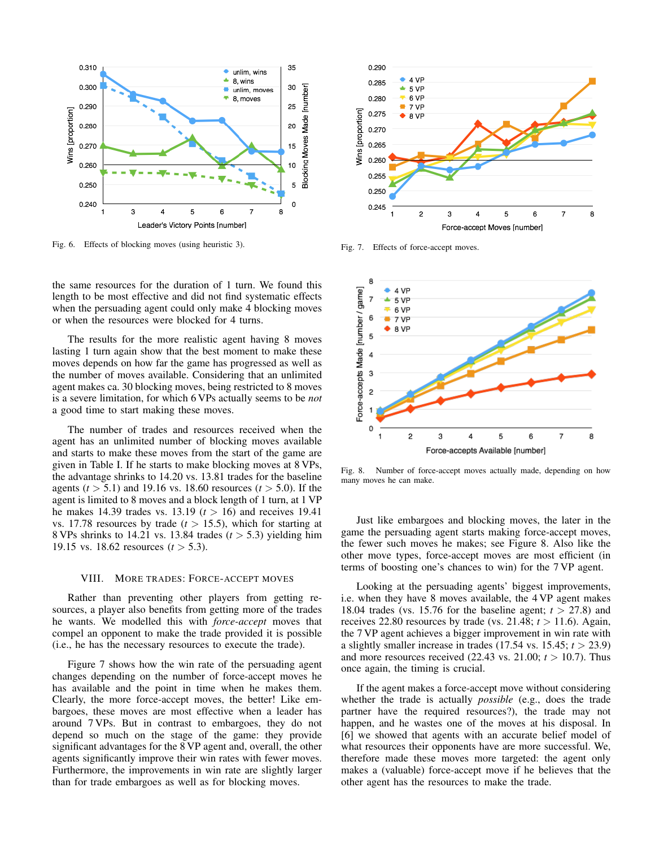

Fig. 6. Effects of blocking moves (using heuristic 3).

the same resources for the duration of 1 turn. We found this length to be most effective and did not find systematic effects when the persuading agent could only make 4 blocking moves or when the resources were blocked for 4 turns.

The results for the more realistic agent having 8 moves lasting 1 turn again show that the best moment to make these moves depends on how far the game has progressed as well as the number of moves available. Considering that an unlimited agent makes ca. 30 blocking moves, being restricted to 8 moves is a severe limitation, for which 6 VPs actually seems to be *not* a good time to start making these moves.

The number of trades and resources received when the agent has an unlimited number of blocking moves available and starts to make these moves from the start of the game are given in Table I. If he starts to make blocking moves at 8 VPs, the advantage shrinks to 14.20 vs. 13.81 trades for the baseline agents (*t* > 5.1) and 19.16 vs. 18.60 resources (*t* > 5.0). If the agent is limited to 8 moves and a block length of 1 turn, at 1 VP he makes 14.39 trades vs. 13.19 (*t* > 16) and receives 19.41 vs. 17.78 resources by trade  $(t > 15.5)$ , which for starting at 8 VPs shrinks to 14.21 vs. 13.84 trades (*t* > 5.3) yielding him 19.15 vs. 18.62 resources (*t* > 5.3).

#### VIII. MORE TRADES: FORCE-ACCEPT MOVES

Rather than preventing other players from getting resources, a player also benefits from getting more of the trades he wants. We modelled this with *force-accept* moves that compel an opponent to make the trade provided it is possible (i.e., he has the necessary resources to execute the trade).

Figure 7 shows how the win rate of the persuading agent changes depending on the number of force-accept moves he has available and the point in time when he makes them. Clearly, the more force-accept moves, the better! Like embargoes, these moves are most effective when a leader has around 7 VPs. But in contrast to embargoes, they do not depend so much on the stage of the game: they provide significant advantages for the 8 VP agent and, overall, the other agents significantly improve their win rates with fewer moves. Furthermore, the improvements in win rate are slightly larger than for trade embargoes as well as for blocking moves.



Fig. 7. Effects of force-accept moves.



Fig. 8. Number of force-accept moves actually made, depending on how many moves he can make.

Just like embargoes and blocking moves, the later in the game the persuading agent starts making force-accept moves, the fewer such moves he makes; see Figure 8. Also like the other move types, force-accept moves are most efficient (in terms of boosting one's chances to win) for the 7 VP agent.

Looking at the persuading agents' biggest improvements, i.e. when they have 8 moves available, the 4 VP agent makes 18.04 trades (vs. 15.76 for the baseline agent; *t* > 27.8) and receives 22.80 resources by trade (vs. 21.48;  $t > 11.6$ ). Again, the 7 VP agent achieves a bigger improvement in win rate with a slightly smaller increase in trades  $(17.54 \text{ vs. } 15.45; t > 23.9)$ and more resources received  $(22.43 \text{ vs. } 21.00; t > 10.7)$ . Thus once again, the timing is crucial.

If the agent makes a force-accept move without considering whether the trade is actually *possible* (e.g., does the trade partner have the required resources?), the trade may not happen, and he wastes one of the moves at his disposal. In [6] we showed that agents with an accurate belief model of what resources their opponents have are more successful. We, therefore made these moves more targeted: the agent only makes a (valuable) force-accept move if he believes that the other agent has the resources to make the trade.